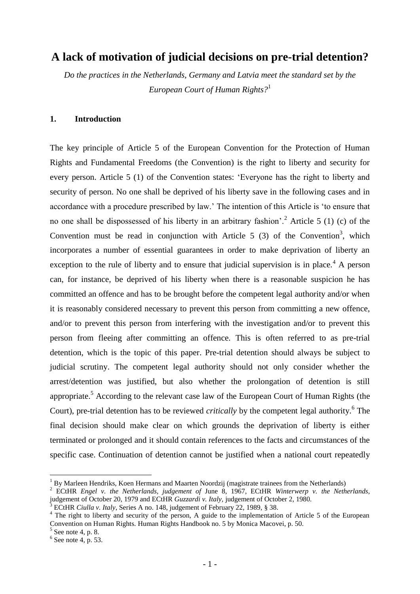# **A lack of motivation of judicial decisions on pre-trial detention?**

*Do the practices in the Netherlands, Germany and Latvia meet the standard set by the European Court of Human Rights?*<sup>1</sup>

### **1. Introduction**

The key principle of Article 5 of the European Convention for the Protection of Human Rights and Fundamental Freedoms (the Convention) is the right to liberty and security for every person. Article 5 (1) of the Convention states: "Everyone has the right to liberty and security of person. No one shall be deprived of his liberty save in the following cases and in accordance with a procedure prescribed by law." The intention of this Article is "to ensure that no one shall be dispossessed of his liberty in an arbitrary fashion'.<sup>2</sup> Article 5 (1) (c) of the Convention must be read in conjunction with Article  $5(3)$  of the Convention<sup>3</sup>, which incorporates a number of essential guarantees in order to make deprivation of liberty an exception to the rule of liberty and to ensure that judicial supervision is in place.<sup>4</sup> A person can, for instance, be deprived of his liberty when there is a reasonable suspicion he has committed an offence and has to be brought before the competent legal authority and/or when it is reasonably considered necessary to prevent this person from committing a new offence, and/or to prevent this person from interfering with the investigation and/or to prevent this person from fleeing after committing an offence. This is often referred to as pre-trial detention, which is the topic of this paper. Pre-trial detention should always be subject to judicial scrutiny. The competent legal authority should not only consider whether the arrest/detention was justified, but also whether the prolongation of detention is still appropriate.<sup>5</sup> According to the relevant case law of the European Court of Human Rights (the Court), pre-trial detention has to be reviewed *critically* by the competent legal authority.<sup>6</sup> The final decision should make clear on which grounds the deprivation of liberty is either terminated or prolonged and it should contain references to the facts and circumstances of the specific case. Continuation of detention cannot be justified when a national court repeatedly

<u>.</u>

 $1$  By Marleen Hendriks, Koen Hermans and Maarten Noordzij (magistrate trainees from the Netherlands)

<sup>&</sup>lt;sup>2</sup> ECtHR *Engel v. the Netherlands, judgement of June 8, 1967, ECtHR Winterwerp v. the Netherlands,* judgement of October 20, 1979 and ECtHR *Guzzardi v. Italy,* judgement of October 2, 1980.

<sup>3</sup> ECtHR *Ciulla v. Italy*, Series A no. 148, judgement of February 22, 1989, § 38.

<sup>&</sup>lt;sup>4</sup> The right to liberty and security of the person, A guide to the implementation of Article 5 of the European Convention on Human Rights. Human Rights Handbook no. 5 by Monica Macovei, p. 50.

 $<sup>5</sup>$  See note 4, p. 8.</sup>

 $6$  See note 4, p. 53.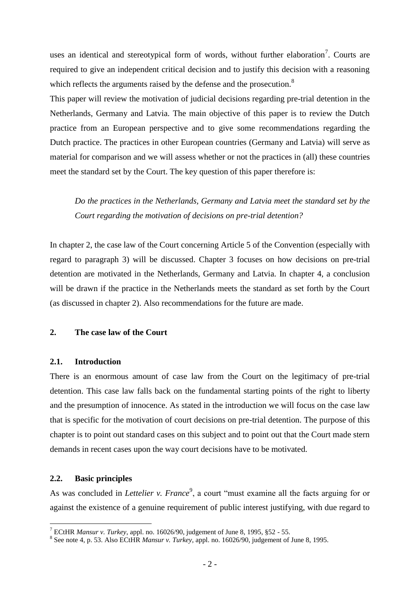uses an identical and stereotypical form of words, without further elaboration<sup>7</sup>. Courts are required to give an independent critical decision and to justify this decision with a reasoning which reflects the arguments raised by the defense and the prosecution.<sup>8</sup>

This paper will review the motivation of judicial decisions regarding pre-trial detention in the Netherlands, Germany and Latvia. The main objective of this paper is to review the Dutch practice from an European perspective and to give some recommendations regarding the Dutch practice. The practices in other European countries (Germany and Latvia) will serve as material for comparison and we will assess whether or not the practices in (all) these countries meet the standard set by the Court. The key question of this paper therefore is:

*Do the practices in the Netherlands, Germany and Latvia meet the standard set by the Court regarding the motivation of decisions on pre-trial detention?* 

In chapter 2, the case law of the Court concerning Article 5 of the Convention (especially with regard to paragraph 3) will be discussed. Chapter 3 focuses on how decisions on pre-trial detention are motivated in the Netherlands, Germany and Latvia. In chapter 4, a conclusion will be drawn if the practice in the Netherlands meets the standard as set forth by the Court (as discussed in chapter 2). Also recommendations for the future are made.

# **2. The case law of the Court**

# **2.1. Introduction**

There is an enormous amount of case law from the Court on the legitimacy of pre-trial detention. This case law falls back on the fundamental starting points of the right to liberty and the presumption of innocence. As stated in the introduction we will focus on the case law that is specific for the motivation of court decisions on pre-trial detention. The purpose of this chapter is to point out standard cases on this subject and to point out that the Court made stern demands in recent cases upon the way court decisions have to be motivated.

### **2.2. Basic principles**

<u>.</u>

As was concluded in *Lettelier v. France*<sup>9</sup>, a court "must examine all the facts arguing for or against the existence of a genuine requirement of public interest justifying, with due regard to

<sup>7</sup> ECtHR *Mansur v. Turkey*, appl. no. 16026/90, judgement of June 8, 1995, §52 - 55.

<sup>8</sup> See note 4, p. 53. Also ECtHR *Mansur v. Turkey*, appl. no. 16026/90, judgement of June 8, 1995.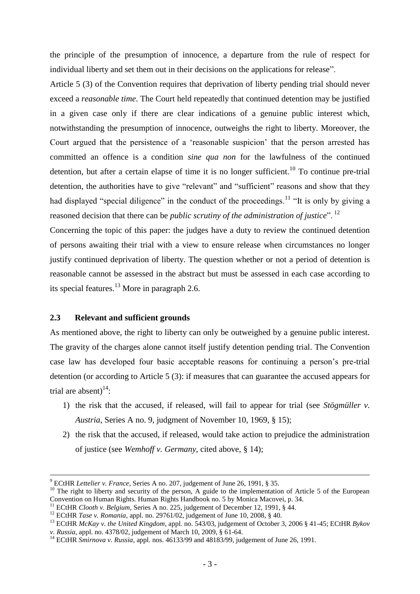the principle of the presumption of innocence, a departure from the rule of respect for individual liberty and set them out in their decisions on the applications for release".

Article 5 (3) of the Convention requires that deprivation of liberty pending trial should never exceed a *reasonable time*. The Court held repeatedly that continued detention may be justified in a given case only if there are clear indications of a genuine public interest which, notwithstanding the presumption of innocence, outweighs the right to liberty. Moreover, the Court argued that the persistence of a "reasonable suspicion" that the person arrested has committed an offence is a condition *sine qua non* for the lawfulness of the continued detention, but after a certain elapse of time it is no longer sufficient.<sup>10</sup> To continue pre-trial detention, the authorities have to give "relevant" and "sufficient" reasons and show that they had displayed "special diligence" in the conduct of the proceedings.<sup>11</sup> "It is only by giving a reasoned decision that there can be *public scrutiny of the administration of justice*". <sup>12</sup>

Concerning the topic of this paper: the judges have a duty to review the continued detention of persons awaiting their trial with a view to ensure release when circumstances no longer justify continued deprivation of liberty. The question whether or not a period of detention is reasonable cannot be assessed in the abstract but must be assessed in each case according to its special features.<sup>13</sup> More in paragraph 2.6.

#### **2.3 Relevant and sufficient grounds**

 $\overline{a}$ 

As mentioned above, the right to liberty can only be outweighed by a genuine public interest. The gravity of the charges alone cannot itself justify detention pending trial. The Convention case law has developed four basic acceptable reasons for continuing a person"s pre-trial detention (or according to Article 5 (3): if measures that can guarantee the accused appears for trial are absent) $^{14}$ :

- 1) the risk that the accused, if released, will fail to appear for trial (see *Stögmüller v. Austria*, Series A no. 9, judgment of November 10, 1969, § 15);
- 2) the risk that the accused, if released, would take action to prejudice the administration of justice (see *Wemhoff v. Germany*, cited above, § 14);

<sup>9</sup> ECtHR *Lettelier v. France*, Series A no. 207, judgement of June 26, 1991, § 35.

<sup>&</sup>lt;sup>10</sup> The right to liberty and security of the person, A guide to the implementation of Article 5 of the European Convention on Human Rights. Human Rights Handbook no. 5 by Monica Macovei, p. 34.

<sup>11</sup> ECtHR *Clooth v. Belgium*, Series A no. 225, judgement of December 12, 1991, § 44.

<sup>&</sup>lt;sup>12</sup> ECtHR *Tase v. Romania*, appl. no. 29761/02, judgement of June 10, 2008, § 40.

<sup>13</sup> ECtHR *McKay v. the United Kingdom*, appl. no. 543/03, judgement of October 3, 2006 § 41-45; ECtHR *Bykov v. Russia*, appl. no. 4378/02, judgement of March 10, 2009, § 61-64.

<sup>&</sup>lt;sup>14</sup> ECtHR *Smirnova v. Russia*, appl. nos. 46133/99 and 48183/99, judgement of June 26, 1991.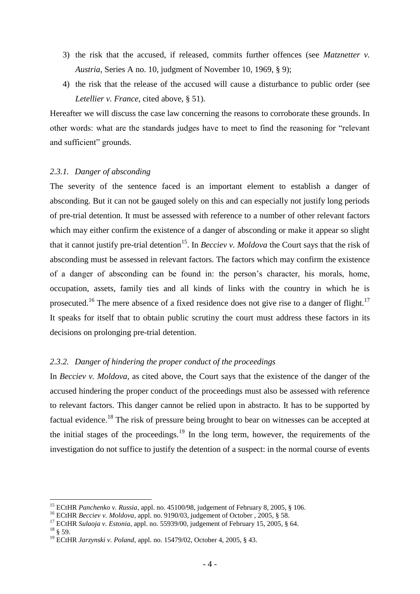- 3) the risk that the accused, if released, commits further offences (see *Matznetter v. Austria*, Series A no. 10, judgment of November 10, 1969, § 9);
- 4) the risk that the release of the accused will cause a disturbance to public order (see *Letellier v. France*, cited above, § 51).

Hereafter we will discuss the case law concerning the reasons to corroborate these grounds. In other words: what are the standards judges have to meet to find the reasoning for "relevant and sufficient" grounds.

### *2.3.1. Danger of absconding*

The severity of the sentence faced is an important element to establish a danger of absconding. But it can not be gauged solely on this and can especially not justify long periods of pre-trial detention. It must be assessed with reference to a number of other relevant factors which may either confirm the existence of a danger of absconding or make it appear so slight that it cannot justify pre-trial detention<sup>15</sup>. In *Becciev v. Moldova* the Court says that the risk of absconding must be assessed in relevant factors. The factors which may confirm the existence of a danger of absconding can be found in: the person"s character, his morals, home, occupation, assets, family ties and all kinds of links with the country in which he is prosecuted.<sup>16</sup> The mere absence of a fixed residence does not give rise to a danger of flight.<sup>17</sup> It speaks for itself that to obtain public scrutiny the court must address these factors in its decisions on prolonging pre-trial detention.

# *2.3.2. Danger of hindering the proper conduct of the proceedings*

In *Becciev v. Moldova*, as cited above, the Court says that the existence of the danger of the accused hindering the proper conduct of the proceedings must also be assessed with reference to relevant factors. This danger cannot be relied upon in abstracto. It has to be supported by factual evidence.<sup>18</sup> The risk of pressure being brought to bear on witnesses can be accepted at the initial stages of the proceedings.<sup>19</sup> In the long term, however, the requirements of the investigation do not suffice to justify the detention of a suspect: in the normal course of events

<u>.</u>

<sup>15</sup> ECtHR *Panchenko v. Russia*, appl. no. 45100/98, judgement of February 8, 2005, § 106.

<sup>&</sup>lt;sup>16</sup> ECtHR *Becciev v. Moldova*, appl. no. 9190/03, judgement of October , 2005, § 58.

<sup>17</sup> ECtHR *Sulaoja v. Estonia*, appl. no. 55939/00, judgement of February 15, 2005, § 64.

 $18 \& 59.$ 

<sup>19</sup> ECtHR *Jarzynski v. Poland*, appl. no. 15479/02, October 4, 2005, § 43.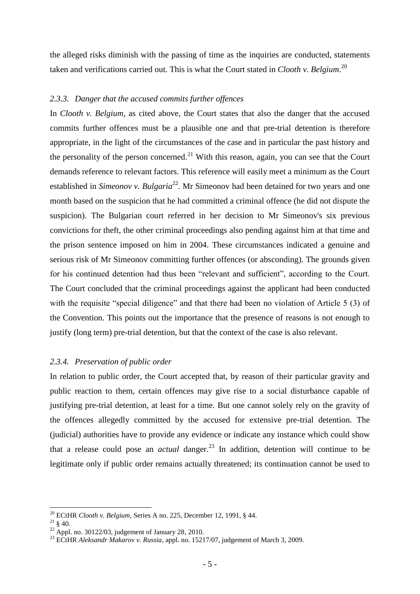the alleged risks diminish with the passing of time as the inquiries are conducted, statements taken and verifications carried out. This is what the Court stated in *Clooth v. Belgium*. 20

### *2.3.3. Danger that the accused commits further offences*

In *Clooth v. Belgium*, as cited above, the Court states that also the danger that the accused commits further offences must be a plausible one and that pre-trial detention is therefore appropriate, in the light of the circumstances of the case and in particular the past history and the personality of the person concerned.<sup>21</sup> With this reason, again, you can see that the Court demands reference to relevant factors. This reference will easily meet a minimum as the Court established in *Simeonov v. Bulgaria*<sup>22</sup>. Mr Simeonov had been detained for two years and one month based on the suspicion that he had committed a criminal offence (he did not dispute the suspicion). The Bulgarian court referred in her decision to Mr Simeonov's six previous convictions for theft, the other criminal proceedings also pending against him at that time and the prison sentence imposed on him in 2004. These circumstances indicated a genuine and serious risk of Mr Simeonov committing further offences (or absconding). The grounds given for his continued detention had thus been "relevant and sufficient", according to the Court. The Court concluded that the criminal proceedings against the applicant had been conducted with the requisite "special diligence" and that there had been no violation of Article 5 (3) of the Convention. This points out the importance that the presence of reasons is not enough to justify (long term) pre-trial detention, but that the context of the case is also relevant.

#### *2.3.4. Preservation of public order*

In relation to public order, the Court accepted that, by reason of their particular gravity and public reaction to them, certain offences may give rise to a social disturbance capable of justifying pre-trial detention, at least for a time. But one cannot solely rely on the gravity of the offences allegedly committed by the accused for extensive pre-trial detention. The (judicial) authorities have to provide any evidence or indicate any instance which could show that a release could pose an *actual* danger.<sup>23</sup> In addition, detention will continue to be legitimate only if public order remains actually threatened; its continuation cannot be used to

<sup>20</sup> ECtHR *Clooth v. Belgium*, Series A no. 225, December 12, 1991, § 44.

 $21 \xi$  40.

 $22$  Appl. no. 30122/03, judgement of January 28, 2010.

<sup>23</sup> ECtHR *Aleksandr Makarov v. Russia*, appl. no. 15217/07, judgement of March 3, 2009.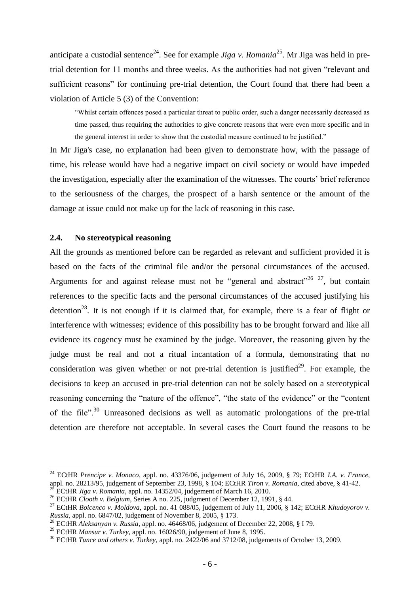anticipate a custodial sentence<sup>24</sup>. See for example *Jiga v. Romania*<sup>25</sup>. Mr Jiga was held in pretrial detention for 11 months and three weeks. As the authorities had not given "relevant and sufficient reasons" for continuing pre-trial detention, the Court found that there had been a violation of Article 5 (3) of the Convention:

"Whilst certain offences posed a particular threat to public order, such a danger necessarily decreased as time passed, thus requiring the authorities to give concrete reasons that were even more specific and in the general interest in order to show that the custodial measure continued to be justified."

In Mr Jiga's case, no explanation had been given to demonstrate how, with the passage of time, his release would have had a negative impact on civil society or would have impeded the investigation, especially after the examination of the witnesses. The courts" brief reference to the seriousness of the charges, the prospect of a harsh sentence or the amount of the damage at issue could not make up for the lack of reasoning in this case.

# **2.4. No stereotypical reasoning**

1

All the grounds as mentioned before can be regarded as relevant and sufficient provided it is based on the facts of the criminal file and/or the personal circumstances of the accused. Arguments for and against release must not be "general and abstract"<sup>26 27</sup>, but contain references to the specific facts and the personal circumstances of the accused justifying his detention<sup>28</sup>. It is not enough if it is claimed that, for example, there is a fear of flight or interference with witnesses; evidence of this possibility has to be brought forward and like all evidence its cogency must be examined by the judge. Moreover, the reasoning given by the judge must be real and not a ritual incantation of a formula, demonstrating that no consideration was given whether or not pre-trial detention is justified<sup>29</sup>. For example, the decisions to keep an accused in pre-trial detention can not be solely based on a stereotypical reasoning concerning the "nature of the offence", "the state of the evidence" or the "content of the file".<sup>30</sup> Unreasoned decisions as well as automatic prolongations of the pre-trial detention are therefore not acceptable. In several cases the Court found the reasons to be

<sup>24</sup> ECtHR *Prencipe v. Monaco*, appl. no. 43376/06, judgement of July 16, 2009, § 79; ECtHR *I.A. v. France*, appl. no. 28213/95, judgement of September 23, 1998, § 104; ECtHR *Tiron v. Romania*, cited above, § 41-42. <sup>25</sup> ECtHR *Jiga v. Romania*, appl. no. 14352/04, judgement of March 16, 2010.

<sup>&</sup>lt;sup>26</sup> ECtHR *Clooth v. Belgium*, Series A no. 225, judgment of December 12, 1991, § 44.

<sup>27</sup> ECtHR *Boicenco v. Moldova*, appl. no. 41 088/05, judgement of July 11, 2006, § 142; ECtHR *Khudoyorov v. Russia*, appl. no. 6847/02, judgement of November 8, 2005, § 173.

<sup>28</sup> ECtHR *Aleksanyan v. Russia*, appl. no. 46468/06, judgement of December 22, 2008, § I 79.

<sup>29</sup> ECtHR *Mansur v. Turkey*, appl. no. 16026/90, judgement of June 8, 1995.

<sup>30</sup> ECtHR *Tunce and others v. Turkey*, appl. no. 2422/06 and 3712/08, judgements of October 13, 2009.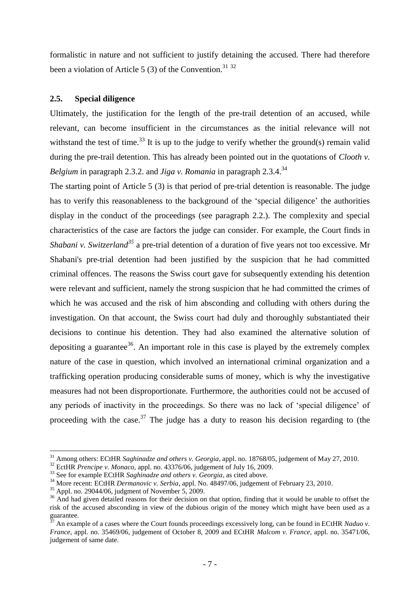formalistic in nature and not sufficient to justify detaining the accused. There had therefore been a violation of Article 5 (3) of the Convention.<sup>31 32</sup>

## **2.5. Special diligence**

Ultimately, the justification for the length of the pre-trail detention of an accused, while relevant, can become insufficient in the circumstances as the initial relevance will not withstand the test of time.<sup>33</sup> It is up to the judge to verify whether the ground(s) remain valid during the pre-trail detention. This has already been pointed out in the quotations of *Clooth v. Belgium* in paragraph 2.3.2. and *Jiga v. Romania* in paragraph 2.3.4.<sup>34</sup>

The starting point of Article 5 (3) is that period of pre-trial detention is reasonable. The judge has to verify this reasonableness to the background of the 'special diligence' the authorities display in the conduct of the proceedings (see paragraph 2.2.). The complexity and special characteristics of the case are factors the judge can consider. For example, the Court finds in *Shabani v. Switzerland<sup>35</sup>* a pre-trial detention of a duration of five years not too excessive. Mr Shabani's pre-trial detention had been justified by the suspicion that he had committed criminal offences. The reasons the Swiss court gave for subsequently extending his detention were relevant and sufficient, namely the strong suspicion that he had committed the crimes of which he was accused and the risk of him absconding and colluding with others during the investigation. On that account, the Swiss court had duly and thoroughly substantiated their decisions to continue his detention. They had also examined the alternative solution of depositing a guarantee<sup>36</sup>. An important role in this case is played by the extremely complex nature of the case in question, which involved an international criminal organization and a trafficking operation producing considerable sums of money, which is why the investigative measures had not been disproportionate. Furthermore, the authorities could not be accused of any periods of inactivity in the proceedings. So there was no lack of "special diligence" of proceeding with the case.<sup>37</sup> The judge has a duty to reason his decision regarding to (the

<sup>31</sup> Among others: ECtHR *Saghinadze and others v. Georgia*, appl. no. 18768/05, judgement of May 27, 2010.

<sup>32</sup> EctHR *Prencipe v. Monaco,* appl. no. 43376/06, judgement of July 16, 2009.

<sup>&</sup>lt;sup>33</sup> See for example ECtHR *Saghinadze and others v. Georgia*, as cited above.

<sup>&</sup>lt;sup>34</sup> More recent: ECtHR *Dermanovic v. Serbia*, appl. No. 48497/06, judgement of February 23, 2010.

 $35$  Appl. no. 29044/06, judgment of November 5, 2009.

<sup>&</sup>lt;sup>36</sup> And had given detailed reasons for their decision on that option, finding that it would be unable to offset the risk of the accused absconding in view of the dubious origin of the money which might have been used as a guarantee.

<sup>37</sup> An example of a cases where the Court founds proceedings excessively long, can be found in ECtHR *Naduo v. France,* appl. no. 35469/06, judgement of October 8, 2009 and ECtHR *Malcom v. France*, appl. no. 35471/06, judgement of same date.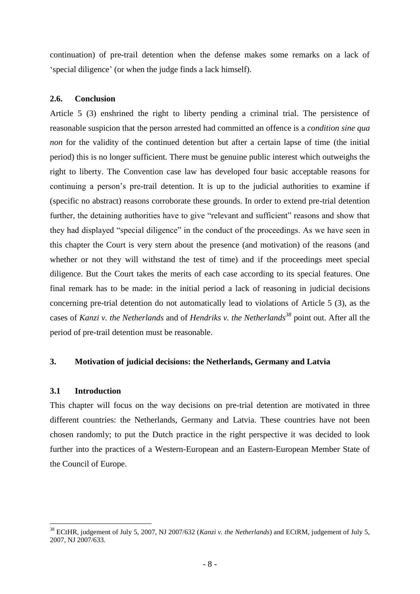continuation) of pre-trail detention when the defense makes some remarks on a lack of "special diligence" (or when the judge finds a lack himself).

# **2.6. Conclusion**

Article 5 (3) enshrined the right to liberty pending a criminal trial. The persistence of reasonable suspicion that the person arrested had committed an offence is a *condition sine qua non* for the validity of the continued detention but after a certain lapse of time (the initial period) this is no longer sufficient. There must be genuine public interest which outweighs the right to liberty. The Convention case law has developed four basic acceptable reasons for continuing a person's pre-trail detention. It is up to the judicial authorities to examine if (specific no abstract) reasons corroborate these grounds. In order to extend pre-trial detention further, the detaining authorities have to give "relevant and sufficient" reasons and show that they had displayed "special diligence" in the conduct of the proceedings. As we have seen in this chapter the Court is very stern about the presence (and motivation) of the reasons (and whether or not they will withstand the test of time) and if the proceedings meet special diligence. But the Court takes the merits of each case according to its special features. One final remark has to be made: in the initial period a lack of reasoning in judicial decisions concerning pre-trial detention do not automatically lead to violations of Article 5 (3), as the cases of *Kanzi v. the Netherlands* and of *Hendriks v. the Netherlands<sup>38</sup>* point out. After all the period of pre-trail detention must be reasonable.

# **3. Motivation of judicial decisions: the Netherlands, Germany and Latvia**

# **3.1 Introduction**

This chapter will focus on the way decisions on pre-trial detention are motivated in three different countries: the Netherlands, Germany and Latvia. These countries have not been chosen randomly; to put the Dutch practice in the right perspective it was decided to look further into the practices of a Western-European and an Eastern-European Member State of the Council of Europe.

<sup>&</sup>lt;u>.</u> <sup>38</sup> ECtHR, judgement of July 5, 2007, NJ 2007/632 (*Kanzi v. the Netherlands*) and ECtRM, judgement of July 5, 2007, NJ 2007/633.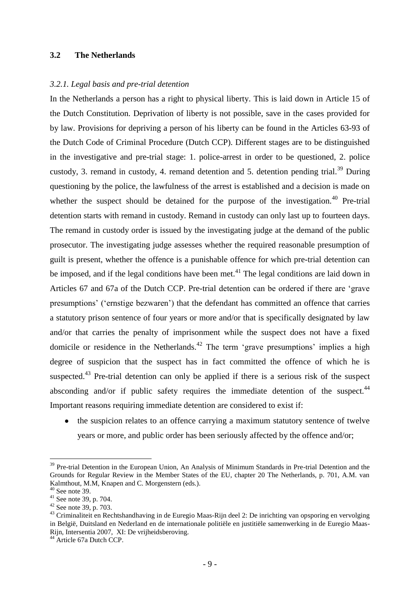# **3.2 The Netherlands**

#### *3.2.1. Legal basis and pre-trial detention*

In the Netherlands a person has a right to physical liberty. This is laid down in Article 15 of the Dutch Constitution. Deprivation of liberty is not possible, save in the cases provided for by law. Provisions for depriving a person of his liberty can be found in the Articles 63-93 of the Dutch Code of Criminal Procedure (Dutch CCP). Different stages are to be distinguished in the investigative and pre-trial stage: 1. police-arrest in order to be questioned, 2. police custody, 3. remand in custody, 4. remand detention and 5. detention pending trial.<sup>39</sup> During questioning by the police, the lawfulness of the arrest is established and a decision is made on whether the suspect should be detained for the purpose of the investigation.<sup>40</sup> Pre-trial detention starts with remand in custody. Remand in custody can only last up to fourteen days. The remand in custody order is issued by the investigating judge at the demand of the public prosecutor. The investigating judge assesses whether the required reasonable presumption of guilt is present, whether the offence is a punishable offence for which pre-trial detention can be imposed, and if the legal conditions have been met.<sup>41</sup> The legal conditions are laid down in Articles 67 and 67a of the Dutch CCP. Pre-trial detention can be ordered if there are "grave presumptions" ("ernstige bezwaren") that the defendant has committed an offence that carries a statutory prison sentence of four years or more and/or that is specifically designated by law and/or that carries the penalty of imprisonment while the suspect does not have a fixed domicile or residence in the Netherlands.<sup>42</sup> The term 'grave presumptions' implies a high degree of suspicion that the suspect has in fact committed the offence of which he is suspected.<sup>43</sup> Pre-trial detention can only be applied if there is a serious risk of the suspect absconding and/or if public safety requires the immediate detention of the suspect. $44$ Important reasons requiring immediate detention are considered to exist if:

• the suspicion relates to an offence carrying a maximum statutory sentence of twelve years or more, and public order has been seriously affected by the offence and/or;

<sup>&</sup>lt;sup>39</sup> Pre-trial Detention in the European Union, An Analysis of Minimum Standards in Pre-trial Detention and the Grounds for Regular Review in the Member States of the EU, chapter 20 The Netherlands, p. 701, A.M. van Kalmthout, M.M, Knapen and C. Morgenstern (eds.).

 $40$  See note 39.

 $41$  See note 39, p. 704.

 $42$  See note 39, p. 703.

<sup>&</sup>lt;sup>43</sup> Criminaliteit en Rechtshandhaving in de Euregio Maas-Rijn deel 2: De inrichting van opsporing en vervolging in België, Duitsland en Nederland en de internationale politiële en justitiële samenwerking in de Euregio Maas-Rijn, Intersentia 2007, XI: De vrijheidsberoving.

<sup>&</sup>lt;sup>44</sup> Article 67a Dutch CCP.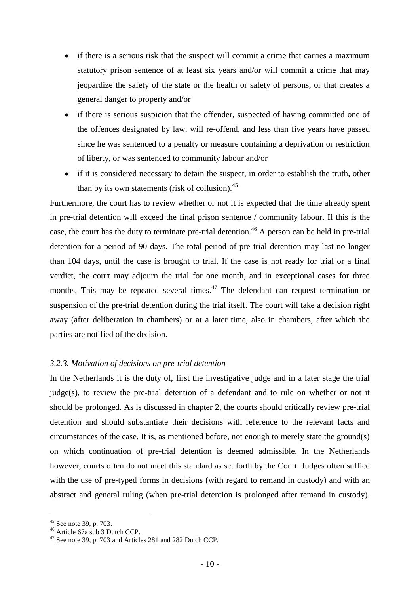- if there is a serious risk that the suspect will commit a crime that carries a maximum  $\bullet$ statutory prison sentence of at least six years and/or will commit a crime that may jeopardize the safety of the state or the health or safety of persons, or that creates a general danger to property and/or
- if there is serious suspicion that the offender, suspected of having committed one of  $\bullet$ the offences designated by law, will re-offend, and less than five years have passed since he was sentenced to a penalty or measure containing a deprivation or restriction of liberty, or was sentenced to community labour and/or
- if it is considered necessary to detain the suspect, in order to establish the truth, other than by its own statements (risk of collusion). $45$

Furthermore, the court has to review whether or not it is expected that the time already spent in pre-trial detention will exceed the final prison sentence / community labour. If this is the case, the court has the duty to terminate pre-trial detention.<sup>46</sup> A person can be held in pre-trial detention for a period of 90 days. The total period of pre-trial detention may last no longer than 104 days, until the case is brought to trial. If the case is not ready for trial or a final verdict, the court may adjourn the trial for one month, and in exceptional cases for three months. This may be repeated several times.<sup>47</sup> The defendant can request termination or suspension of the pre-trial detention during the trial itself. The court will take a decision right away (after deliberation in chambers) or at a later time, also in chambers, after which the parties are notified of the decision.

# *3.2.3. Motivation of decisions on pre-trial detention*

In the Netherlands it is the duty of, first the investigative judge and in a later stage the trial judge(s), to review the pre-trial detention of a defendant and to rule on whether or not it should be prolonged. As is discussed in chapter 2, the courts should critically review pre-trial detention and should substantiate their decisions with reference to the relevant facts and circumstances of the case. It is, as mentioned before, not enough to merely state the ground(s) on which continuation of pre-trial detention is deemed admissible. In the Netherlands however, courts often do not meet this standard as set forth by the Court. Judges often suffice with the use of pre-typed forms in decisions (with regard to remand in custody) and with an abstract and general ruling (when pre-trial detention is prolonged after remand in custody).

 $45$  See note 39, p. 703.

<sup>46</sup> Article 67a sub 3 Dutch CCP.

<sup>47</sup> See note 39, p. 703 and Articles 281 and 282 Dutch CCP.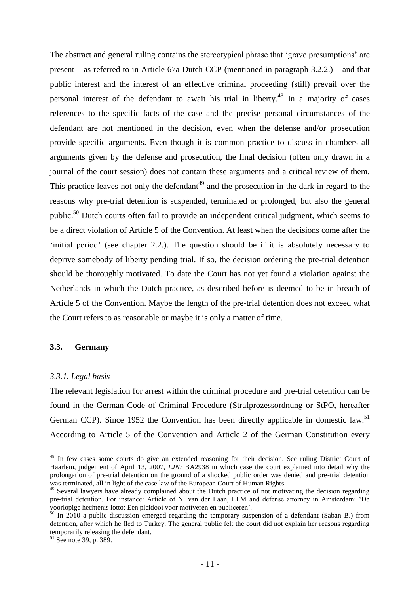The abstract and general ruling contains the stereotypical phrase that 'grave presumptions' are present – as referred to in Article 67a Dutch CCP (mentioned in paragraph 3.2.2.) – and that public interest and the interest of an effective criminal proceeding (still) prevail over the personal interest of the defendant to await his trial in liberty.<sup>48</sup> In a majority of cases references to the specific facts of the case and the precise personal circumstances of the defendant are not mentioned in the decision, even when the defense and/or prosecution provide specific arguments. Even though it is common practice to discuss in chambers all arguments given by the defense and prosecution, the final decision (often only drawn in a journal of the court session) does not contain these arguments and a critical review of them. This practice leaves not only the defendant<sup>49</sup> and the prosecution in the dark in regard to the reasons why pre-trial detention is suspended, terminated or prolonged, but also the general public.<sup>50</sup> Dutch courts often fail to provide an independent critical judgment, which seems to be a direct violation of Article 5 of the Convention. At least when the decisions come after the initial period' (see chapter 2.2.). The question should be if it is absolutely necessary to deprive somebody of liberty pending trial. If so, the decision ordering the pre-trial detention should be thoroughly motivated. To date the Court has not yet found a violation against the Netherlands in which the Dutch practice, as described before is deemed to be in breach of Article 5 of the Convention. Maybe the length of the pre-trial detention does not exceed what the Court refers to as reasonable or maybe it is only a matter of time.

#### **3.3. Germany**

#### *3.3.1. Legal basis*

1

The relevant legislation for arrest within the criminal procedure and pre-trial detention can be found in the German Code of Criminal Procedure (Strafprozessordnung or StPO, hereafter German CCP). Since 1952 the Convention has been directly applicable in domestic law.<sup>51</sup> According to Article 5 of the Convention and Article 2 of the German Constitution every

<sup>&</sup>lt;sup>48</sup> In few cases some courts do give an extended reasoning for their decision. See ruling District Court of Haarlem, judgement of April 13, 2007, *LJN:* BA2938 in which case the court explained into detail why the prolongation of pre-trial detention on the ground of a shocked public order was denied and pre-trial detention was terminated, all in light of the case law of the European Court of Human Rights.

<sup>&</sup>lt;sup>49</sup> Several lawyers have already complained about the Dutch practice of not motivating the decision regarding pre-trial detention. For instance: Article of N. van der Laan, LLM and defense attorney in Amsterdam: "De voorlopige hechtenis lotto; Een pleidooi voor motiveren en publiceren".

 $50$  In 2010 a public discussion emerged regarding the temporary suspension of a defendant (Saban B.) from detention, after which he fled to Turkey. The general public felt the court did not explain her reasons regarding temporarily releasing the defendant.

 $51$  See note 39, p. 389.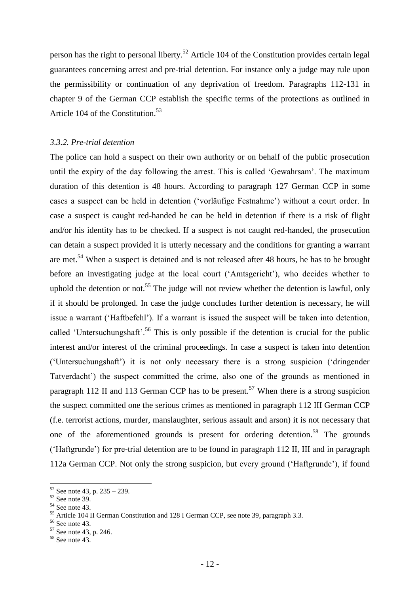person has the right to personal liberty.<sup>52</sup> Article 104 of the Constitution provides certain legal guarantees concerning arrest and pre-trial detention. For instance only a judge may rule upon the permissibility or continuation of any deprivation of freedom. Paragraphs 112-131 in chapter 9 of the German CCP establish the specific terms of the protections as outlined in Article 104 of the Constitution.<sup>53</sup>

### *3.3.2. Pre-trial detention*

The police can hold a suspect on their own authority or on behalf of the public prosecution until the expiry of the day following the arrest. This is called "Gewahrsam". The maximum duration of this detention is 48 hours. According to paragraph 127 German CCP in some cases a suspect can be held in detention ("vorläufige Festnahme") without a court order. In case a suspect is caught red-handed he can be held in detention if there is a risk of flight and/or his identity has to be checked. If a suspect is not caught red-handed, the prosecution can detain a suspect provided it is utterly necessary and the conditions for granting a warrant are met.<sup>54</sup> When a suspect is detained and is not released after 48 hours, he has to be brought before an investigating judge at the local court ("Amtsgericht"), who decides whether to uphold the detention or not.<sup>55</sup> The judge will not review whether the detention is lawful, only if it should be prolonged. In case the judge concludes further detention is necessary, he will issue a warrant ("Haftbefehl"). If a warrant is issued the suspect will be taken into detention, called 'Untersuchungshaft'.<sup>56</sup> This is only possible if the detention is crucial for the public interest and/or interest of the criminal proceedings. In case a suspect is taken into detention ("Untersuchungshaft") it is not only necessary there is a strong suspicion ("dringender Tatverdacht') the suspect committed the crime, also one of the grounds as mentioned in paragraph 112 II and 113 German CCP has to be present.<sup>57</sup> When there is a strong suspicion the suspect committed one the serious crimes as mentioned in paragraph 112 III German CCP (f.e. terrorist actions, murder, manslaughter, serious assault and arson) it is not necessary that one of the aforementioned grounds is present for ordering detention.<sup>58</sup> The grounds ("Haftgrunde") for pre-trial detention are to be found in paragraph 112 II, III and in paragraph 112a German CCP. Not only the strong suspicion, but every ground ("Haftgrunde"), if found

 $52$  See note 43, p. 235 – 239.

 $53$  See note 39.

 $54$  See note 43.

<sup>&</sup>lt;sup>55</sup> Article 104 II German Constitution and 128 I German CCP, see note 39, paragraph 3.3.

 $56$  See note 43.

<sup>57</sup> See note 43, p. 246.

 $58$  See note 43.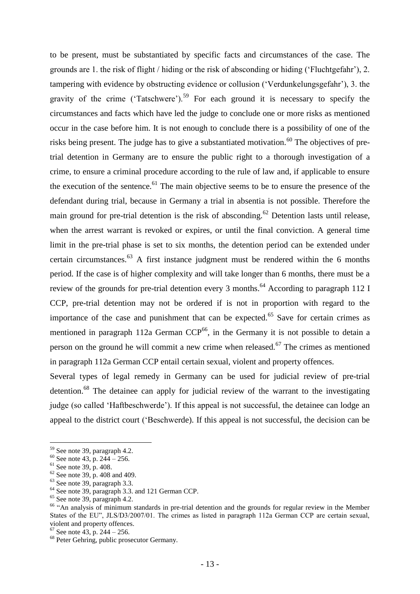to be present, must be substantiated by specific facts and circumstances of the case. The grounds are 1. the risk of flight / hiding or the risk of absconding or hiding ("Fluchtgefahr"), 2. tampering with evidence by obstructing evidence or collusion ("Verdunkelungsgefahr"), 3. the gravity of the crime ('Tatschwere').<sup>59</sup> For each ground it is necessary to specify the circumstances and facts which have led the judge to conclude one or more risks as mentioned occur in the case before him. It is not enough to conclude there is a possibility of one of the risks being present. The judge has to give a substantiated motivation.<sup>60</sup> The objectives of pretrial detention in Germany are to ensure the public right to a thorough investigation of a crime, to ensure a criminal procedure according to the rule of law and, if applicable to ensure the execution of the sentence.<sup>61</sup> The main objective seems to be to ensure the presence of the defendant during trial, because in Germany a trial in absentia is not possible. Therefore the main ground for pre-trial detention is the risk of absconding.<sup>62</sup> Detention lasts until release, when the arrest warrant is revoked or expires, or until the final conviction. A general time limit in the pre-trial phase is set to six months, the detention period can be extended under certain circumstances.<sup>63</sup> A first instance judgment must be rendered within the 6 months period. If the case is of higher complexity and will take longer than 6 months, there must be a review of the grounds for pre-trial detention every 3 months.<sup>64</sup> According to paragraph 112 I CCP, pre-trial detention may not be ordered if is not in proportion with regard to the importance of the case and punishment that can be expected.<sup>65</sup> Save for certain crimes as mentioned in paragraph 112a German  $CCP<sup>66</sup>$ , in the Germany it is not possible to detain a person on the ground he will commit a new crime when released.<sup>67</sup> The crimes as mentioned in paragraph 112a German CCP entail certain sexual, violent and property offences.

Several types of legal remedy in Germany can be used for judicial review of pre-trial detention.<sup>68</sup> The detainee can apply for judicial review of the warrant to the investigating judge (so called "Haftbeschwerde"). If this appeal is not successful, the detainee can lodge an appeal to the district court ("Beschwerde). If this appeal is not successful, the decision can be

<sup>59</sup> See note 39, paragraph 4.2.

 $60$  See note 43, p. 244 – 256.

 $61$  See note 39, p. 408.

 $62$  See note 39, p. 408 and 409.

<sup>63</sup> See note 39, paragraph 3.3.

<sup>64</sup> See note 39, paragraph 3.3. and 121 German CCP.

 $65$  See note 39, paragraph 4.2.

<sup>&</sup>lt;sup>66</sup> "An analysis of minimum standards in pre-trial detention and the grounds for regular review in the Member States of the EU", JLS/D3/2007/01. The crimes as listed in paragraph 112a German CCP are certain sexual, violent and property offences.

 $67$  See note 43, p. 244 – 256.

<sup>&</sup>lt;sup>68</sup> Peter Gehring, public prosecutor Germany.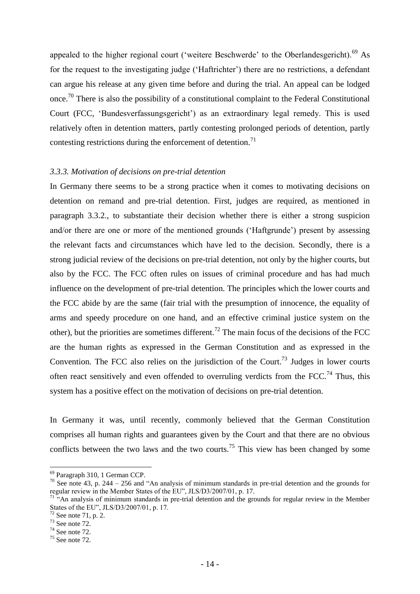appealed to the higher regional court ('weitere Beschwerde' to the Oberlandesgericht).<sup>69</sup> As for the request to the investigating judge ("Haftrichter") there are no restrictions, a defendant can argue his release at any given time before and during the trial. An appeal can be lodged once.<sup>70</sup> There is also the possibility of a constitutional complaint to the Federal Constitutional Court (FCC, "Bundesverfassungsgericht") as an extraordinary legal remedy. This is used relatively often in detention matters, partly contesting prolonged periods of detention, partly contesting restrictions during the enforcement of detention.<sup>71</sup>

#### *3.3.3. Motivation of decisions on pre-trial detention*

In Germany there seems to be a strong practice when it comes to motivating decisions on detention on remand and pre-trial detention. First, judges are required, as mentioned in paragraph 3.3.2., to substantiate their decision whether there is either a strong suspicion and/or there are one or more of the mentioned grounds ("Haftgrunde") present by assessing the relevant facts and circumstances which have led to the decision. Secondly, there is a strong judicial review of the decisions on pre-trial detention, not only by the higher courts, but also by the FCC. The FCC often rules on issues of criminal procedure and has had much influence on the development of pre-trial detention. The principles which the lower courts and the FCC abide by are the same (fair trial with the presumption of innocence, the equality of arms and speedy procedure on one hand, and an effective criminal justice system on the other), but the priorities are sometimes different.<sup>72</sup> The main focus of the decisions of the FCC are the human rights as expressed in the German Constitution and as expressed in the Convention. The FCC also relies on the jurisdiction of the Court.<sup>73</sup> Judges in lower courts often react sensitively and even offended to overruling verdicts from the FCC.<sup>74</sup> Thus, this system has a positive effect on the motivation of decisions on pre-trial detention.

In Germany it was, until recently, commonly believed that the German Constitution comprises all human rights and guarantees given by the Court and that there are no obvious conflicts between the two laws and the two courts.<sup>75</sup> This view has been changed by some

<sup>69</sup> Paragraph 310, 1 German CCP.

 $70$  See note 43, p. 244 – 256 and "An analysis of minimum standards in pre-trial detention and the grounds for regular review in the Member States of the EU", JLS/D3/2007/01, p. 17.

 $71$ <sup>"</sup>"An analysis of minimum standards in pre-trial detention and the grounds for regular review in the Member States of the EU", JLS/D3/2007/01, p. 17.

 $2$  See note 71, p. 2.

<sup>73</sup> See note 72.

 $74$  See note 72.

 $75$  See note  $72$ .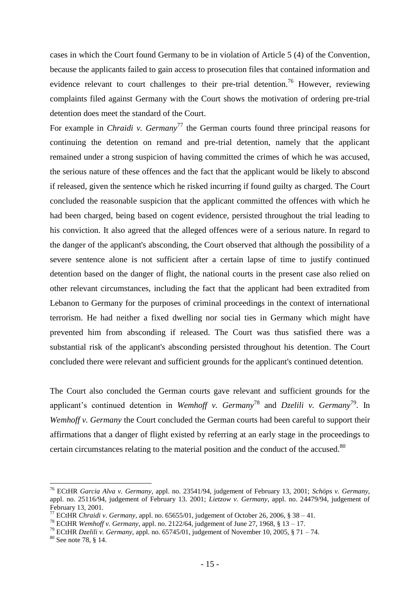cases in which the Court found Germany to be in violation of Article 5 (4) of the Convention, because the applicants failed to gain access to prosecution files that contained information and evidence relevant to court challenges to their pre-trial detention.<sup>76</sup> However, reviewing complaints filed against Germany with the Court shows the motivation of ordering pre-trial detention does meet the standard of the Court.

For example in *Chraidi v. Germany*<sup>77</sup> the German courts found three principal reasons for continuing the detention on remand and pre-trial detention, namely that the applicant remained under a strong suspicion of having committed the crimes of which he was accused, the serious nature of these offences and the fact that the applicant would be likely to abscond if released, given the sentence which he risked incurring if found guilty as charged. The Court concluded the reasonable suspicion that the applicant committed the offences with which he had been charged, being based on cogent evidence, persisted throughout the trial leading to his conviction. It also agreed that the alleged offences were of a serious nature. In regard to the danger of the applicant's absconding, the Court observed that although the possibility of a severe sentence alone is not sufficient after a certain lapse of time to justify continued detention based on the danger of flight, the national courts in the present case also relied on other relevant circumstances, including the fact that the applicant had been extradited from Lebanon to Germany for the purposes of criminal proceedings in the context of international terrorism. He had neither a fixed dwelling nor social ties in Germany which might have prevented him from absconding if released. The Court was thus satisfied there was a substantial risk of the applicant's absconding persisted throughout his detention. The Court concluded there were relevant and sufficient grounds for the applicant's continued detention.

The Court also concluded the German courts gave relevant and sufficient grounds for the applicant's continued detention in *Wemhoff v. Germany*<sup>78</sup> and *Dzelili v. Germany*<sup>79</sup>. In *Wemhoff v. Germany* the Court concluded the German courts had been careful to support their affirmations that a danger of flight existed by referring at an early stage in the proceedings to certain circumstances relating to the material position and the conduct of the accused.<sup>80</sup>

<sup>76</sup> ECtHR *Garcia Alva v. Germany*, appl. no. 23541/94, judgement of February 13, 2001; *Schöps v. Germany*, appl. no. 25116/94, judgement of February 13. 2001; *Lietzow v. Germany*, appl. no. 24479/94, judgement of February 13, 2001.

<sup>&</sup>lt;sup>77</sup> ECtHR *Chraidi v. Germany*, appl. no. 65655/01, judgement of October 26, 2006, § 38 – 41.

<sup>78</sup> ECtHR *Wemhoff v. Germany*, appl. no. 2122/64, judgement of June 27, 1968, § 13 – 17.

<sup>79</sup> ECtHR *Dzelili v. Germany*, appl. no. 65745/01, judgement of November 10, 2005, § 71 – 74.

<sup>80</sup> See note 78, § 14.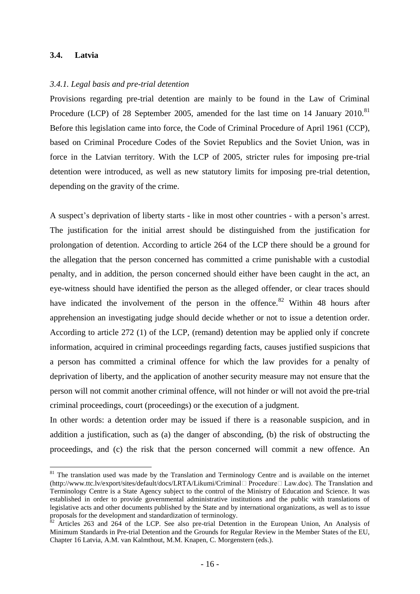# **3.4. Latvia**

1

#### *3.4.1. Legal basis and pre-trial detention*

Provisions regarding pre-trial detention are mainly to be found in the Law of Criminal Procedure (LCP) of 28 September 2005, amended for the last time on 14 January 2010.<sup>81</sup> Before this legislation came into force, the Code of Criminal Procedure of April 1961 (CCP), based on Criminal Procedure Codes of the Soviet Republics and the Soviet Union, was in force in the Latvian territory. With the LCP of 2005, stricter rules for imposing pre-trial detention were introduced, as well as new statutory limits for imposing pre-trial detention, depending on the gravity of the crime.

A suspect"s deprivation of liberty starts - like in most other countries - with a person"s arrest. The justification for the initial arrest should be distinguished from the justification for prolongation of detention. According to article 264 of the LCP there should be a ground for the allegation that the person concerned has committed a crime punishable with a custodial penalty, and in addition, the person concerned should either have been caught in the act, an eye-witness should have identified the person as the alleged offender, or clear traces should have indicated the involvement of the person in the offence.<sup>82</sup> Within 48 hours after apprehension an investigating judge should decide whether or not to issue a detention order. According to article 272 (1) of the LCP, (remand) detention may be applied only if concrete information, acquired in criminal proceedings regarding facts, causes justified suspicions that a person has committed a criminal offence for which the law provides for a penalty of deprivation of liberty, and the application of another security measure may not ensure that the person will not commit another criminal offence, will not hinder or will not avoid the pre-trial criminal proceedings, court (proceedings) or the execution of a judgment.

In other words: a detention order may be issued if there is a reasonable suspicion, and in addition a justification, such as (a) the danger of absconding, (b) the risk of obstructing the proceedings, and (c) the risk that the person concerned will commit a new offence. An

<sup>&</sup>lt;sup>81</sup> The translation used was made by the Translation and Terminology Centre and is available on the internet (http://www.ttc.lv/export/sites/default/docs/LRTA/Likumi/CriminalˍProcedureˍLaw.doc). The Translation and Terminology Centre is a State Agency subject to the control of the Ministry of Education and Science. It was established in order to provide governmental administrative institutions and the public with translations of legislative acts and other documents published by the State and by international organizations, as well as to issue proposals for the development and standardization of terminology.

 $82$  Articles 263 and 264 of the LCP. See also pre-trial Detention in the European Union, An Analysis of Minimum Standards in Pre-trial Detention and the Grounds for Regular Review in the Member States of the EU, Chapter 16 Latvia, A.M. van Kalmthout, M.M. Knapen, C. Morgenstern (eds.).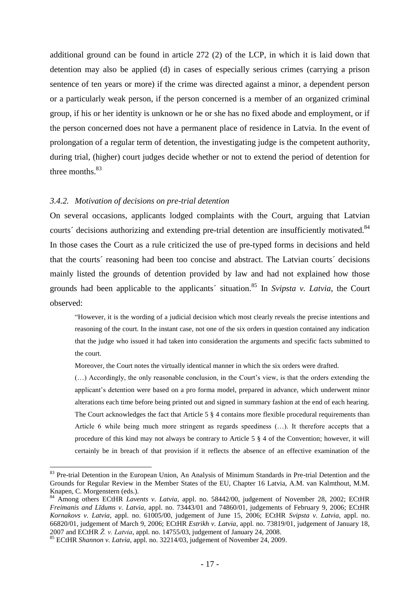additional ground can be found in article 272 (2) of the LCP, in which it is laid down that detention may also be applied (d) in cases of especially serious crimes (carrying a prison sentence of ten years or more) if the crime was directed against a minor, a dependent person or a particularly weak person, if the person concerned is a member of an organized criminal group, if his or her identity is unknown or he or she has no fixed abode and employment, or if the person concerned does not have a permanent place of residence in Latvia. In the event of prolongation of a regular term of detention, the investigating judge is the competent authority, during trial, (higher) court judges decide whether or not to extend the period of detention for three months. $83$ 

#### *3.4.2. Motivation of decisions on pre-trial detention*

On several occasions, applicants lodged complaints with the Court, arguing that Latvian courts' decisions authorizing and extending pre-trial detention are insufficiently motivated.<sup>84</sup> In those cases the Court as a rule criticized the use of pre-typed forms in decisions and held that the courts´ reasoning had been too concise and abstract. The Latvian courts´ decisions mainly listed the grounds of detention provided by law and had not explained how those grounds had been applicable to the applicants' situation.<sup>85</sup> In *Svipsta v. Latvia*, the Court observed:

"However, it is the wording of a judicial decision which most clearly reveals the precise intentions and reasoning of the court. In the instant case, not one of the six orders in question contained any indication that the judge who issued it had taken into consideration the arguments and specific facts submitted to the court.

Moreover, the Court notes the virtually identical manner in which the six orders were drafted.

(…) Accordingly, the only reasonable conclusion, in the Court"s view, is that the orders extending the applicant"s detention were based on a pro forma model, prepared in advance, which underwent minor alterations each time before being printed out and signed in summary fashion at the end of each hearing. The Court acknowledges the fact that Article 5  $\S$  4 contains more flexible procedural requirements than Article 6 while being much more stringent as regards speediness (…). It therefore accepts that a procedure of this kind may not always be contrary to Article 5 § 4 of the Convention; however, it will certainly be in breach of that provision if it reflects the absence of an effective examination of the

<sup>&</sup>lt;sup>83</sup> Pre-trial Detention in the European Union, An Analysis of Minimum Standards in Pre-trial Detention and the Grounds for Regular Review in the Member States of the EU, Chapter 16 Latvia, A.M. van Kalmthout, M.M. Knapen, C. Morgenstern (eds.).

<sup>&</sup>lt;sup>84</sup> Among others ECtHR *Lavents v. Latvia*, appl. no. 58442/00, judgement of November 28, 2002; ECtHR *Freimanis and Līdums v. Latvia*, appl. no. 73443/01 and 74860/01, judgements of February 9, 2006; ECtHR *Kornakovs v. Latvia*, appl. no. 61005/00, judgement of June 15, 2006; ECtHR *Svipsta v. Latvia*, appl. no. 66820/01, judgement of March 9, 2006; ECtHR *Estrikh v. Latvia*, appl. no. 73819/01, judgement of January 18, 2007 and ECtHR *Ž. v. Latvia*, appl. no. 14755/03, judgement of January 24, 2008.

<sup>85</sup> ECtHR *Shannon v. Latvia*, appl. no. 32214/03, judgement of November 24, 2009*.*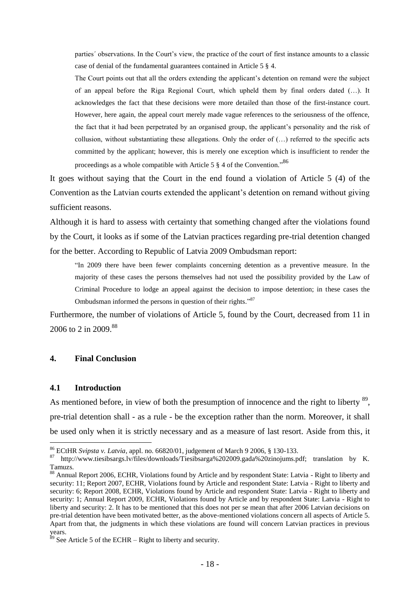parties' observations. In the Court's view, the practice of the court of first instance amounts to a classic case of denial of the fundamental guarantees contained in Article 5 § 4.

The Court points out that all the orders extending the applicant"s detention on remand were the subject of an appeal before the Riga Regional Court, which upheld them by final orders dated (…). It acknowledges the fact that these decisions were more detailed than those of the first-instance court. However, here again, the appeal court merely made vague references to the seriousness of the offence, the fact that it had been perpetrated by an organised group, the applicant"s personality and the risk of collusion, without substantiating these allegations. Only the order of (…) referred to the specific acts committed by the applicant; however, this is merely one exception which is insufficient to render the proceedings as a whole compatible with Article 5  $\S$  4 of the Convention.<sup>586</sup>

It goes without saying that the Court in the end found a violation of Article 5 (4) of the Convention as the Latvian courts extended the applicant's detention on remand without giving sufficient reasons.

Although it is hard to assess with certainty that something changed after the violations found by the Court, it looks as if some of the Latvian practices regarding pre-trial detention changed for the better. According to Republic of Latvia 2009 Ombudsman report:

"In 2009 there have been fewer complaints concerning detention as a preventive measure. In the majority of these cases the persons themselves had not used the possibility provided by the Law of Criminal Procedure to lodge an appeal against the decision to impose detention; in these cases the Ombudsman informed the persons in question of their rights."<sup>87</sup>

Furthermore, the number of violations of Article 5, found by the Court, decreased from 11 in 2006 to 2 in 2009.<sup>88</sup>

## **4. Final Conclusion**

#### **4.1 Introduction**

1

As mentioned before, in view of both the presumption of innocence and the right to liberty  $89$ , pre-trial detention shall - as a rule - be the exception rather than the norm. Moreover, it shall be used only when it is strictly necessary and as a measure of last resort. Aside from this, it

<sup>86</sup> ECtHR *Svipsta v. Latvia*, appl. no. 66820/01, judgement of March 9 2006, § 130-133.

<sup>87</sup> http://www.tiesibsargs.lv/files/downloads/Tiesibsarga%202009.gada%20zinojums.pdf; translation by K. Tamuzs.

<sup>88</sup> Annual Report 2006, ECHR, Violations found by Article and by respondent State: Latvia - Right to liberty and security: 11; Report 2007, ECHR, Violations found by Article and respondent State: Latvia - Right to liberty and security: 6; Report 2008, ECHR, Violations found by Article and respondent State: Latvia - Right to liberty and security: 1; Annual Report 2009, ECHR, Violations found by Article and by respondent State: Latvia - Right to liberty and security: 2. It has to be mentioned that this does not per se mean that after 2006 Latvian decisions on pre-trial detention have been motivated better, as the above-mentioned violations concern all aspects of Article 5. Apart from that, the judgments in which these violations are found will concern Latvian practices in previous years.

 $89$  See Article 5 of the ECHR – Right to liberty and security.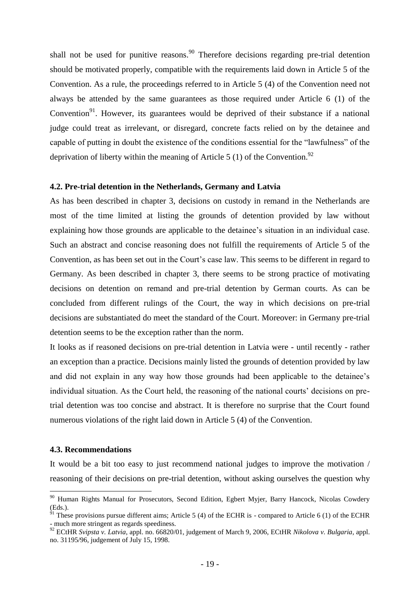shall not be used for punitive reasons.<sup>90</sup> Therefore decisions regarding pre-trial detention should be motivated properly, compatible with the requirements laid down in Article 5 of the Convention. As a rule, the proceedings referred to in Article 5 (4) of the Convention need not always be attended by the same guarantees as those required under Article 6 (1) of the Convention<sup>91</sup>. However, its guarantees would be deprived of their substance if a national judge could treat as irrelevant, or disregard, concrete facts relied on by the detainee and capable of putting in doubt the existence of the conditions essential for the "lawfulness" of the deprivation of liberty within the meaning of Article 5 (1) of the Convention.<sup>92</sup>

#### **4.2. Pre-trial detention in the Netherlands, Germany and Latvia**

As has been described in chapter 3, decisions on custody in remand in the Netherlands are most of the time limited at listing the grounds of detention provided by law without explaining how those grounds are applicable to the detainee's situation in an individual case. Such an abstract and concise reasoning does not fulfill the requirements of Article 5 of the Convention, as has been set out in the Court"s case law. This seems to be different in regard to Germany. As been described in chapter 3, there seems to be strong practice of motivating decisions on detention on remand and pre-trial detention by German courts. As can be concluded from different rulings of the Court, the way in which decisions on pre-trial decisions are substantiated do meet the standard of the Court. Moreover: in Germany pre-trial detention seems to be the exception rather than the norm.

It looks as if reasoned decisions on pre-trial detention in Latvia were - until recently - rather an exception than a practice. Decisions mainly listed the grounds of detention provided by law and did not explain in any way how those grounds had been applicable to the detainee"s individual situation. As the Court held, the reasoning of the national courts' decisions on pretrial detention was too concise and abstract. It is therefore no surprise that the Court found numerous violations of the right laid down in Article 5 (4) of the Convention.

#### **4.3. Recommendations**

<u>.</u>

It would be a bit too easy to just recommend national judges to improve the motivation / reasoning of their decisions on pre-trial detention, without asking ourselves the question why

<sup>&</sup>lt;sup>90</sup> Human Rights Manual for Prosecutors, Second Edition, Egbert Myjer, Barry Hancock, Nicolas Cowdery (Eds.).

These provisions pursue different aims; Article 5 (4) of the ECHR is - compared to Article 6 (1) of the ECHR - much more stringent as regards speediness.

<sup>92</sup> ECtHR *Svipsta v. Latvia*, appl. no. 66820/01, judgement of March 9, 2006, ECtHR *Nikolova v. Bulgaria*, appl. no. 31195/96, judgement of July 15, 1998.